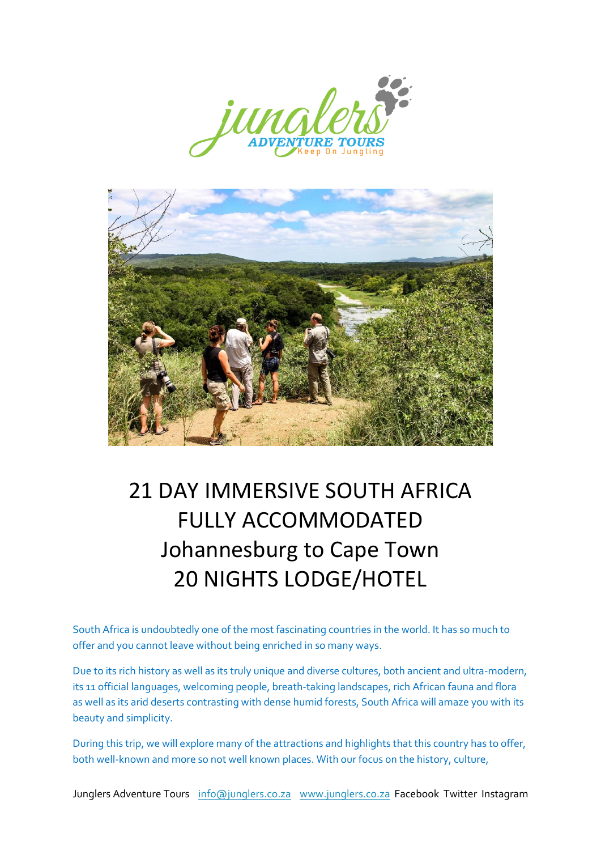



# 21 DAY IMMERSIVE SOUTH AFRICA FULLY ACCOMMODATED Johannesburg to Cape Town 20 NIGHTS LODGE/HOTEL

South Africa is undoubtedly one of the most fascinating countries in the world. It has so much to offer and you cannot leave without being enriched in so many ways.

Due to its rich history as well as its truly unique and diverse cultures, both ancient and ultra-modern, its 11 official languages, welcoming people, breath-taking landscapes, rich African fauna and flora as well as its arid deserts contrasting with dense humid forests, South Africa will amaze you with its beauty and simplicity.

During this trip, we will explore many of the attractions and highlights that this country has to offer, both well-known and more so not well known places. With our focus on the history, culture,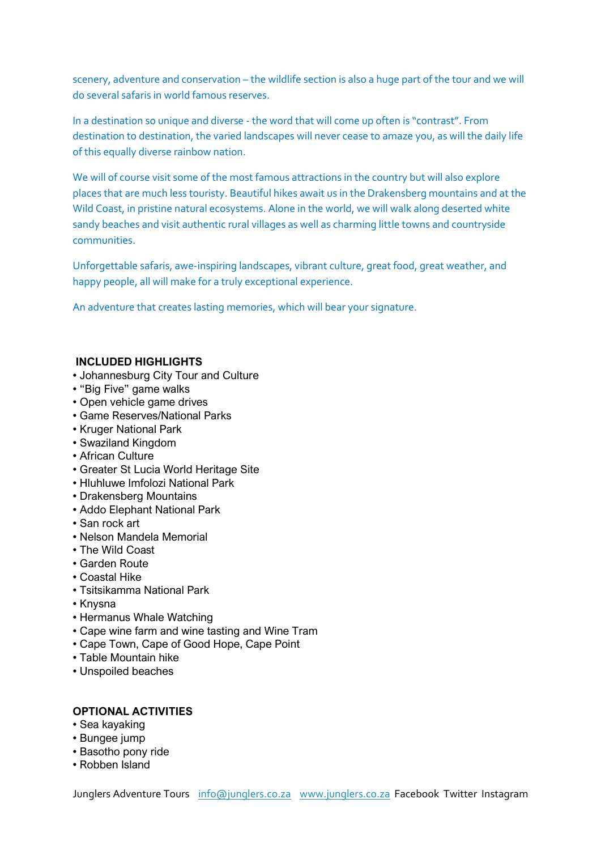scenery, adventure and conservation – the wildlife section is also a huge part of the tour and we will do several safaris in world famous reserves.

In a destination so unique and diverse - the word that will come up often is "contrast". From destination to destination, the varied landscapes will never cease to amaze you, as will the daily life of this equally diverse rainbow nation.

We will of course visit some of the most famous attractions in the country but will also explore places that are much less touristy. Beautiful hikes await us in the Drakensberg mountains and at the Wild Coast, in pristine natural ecosystems. Alone in the world, we will walk along deserted white sandy beaches and visit authentic rural villages as well as charming little towns and countryside communities.

Unforgettable safaris, awe-inspiring landscapes, vibrant culture, great food, great weather, and happy people, all will make for a truly exceptional experience.

An adventure that creates lasting memories, which will bear your signature.

# **INCLUDED HIGHLIGHTS**

- Johannesburg City Tour and Culture
- " "Big Five" game walks
- Open vehicle game drives
- " Game Reserves/National Parks
- Kruger National Park
- " Swaziland Kingdom
- African Culture
- " Greater St Lucia World Heritage Site
- Hluhluwe Imfolozi National Park
- Drakensberg Mountains
- " Addo Elephant National Park
- San rock art
- " Nelson Mandela Memorial
- The Wild Coast
- " Garden Route
- " Coastal Hike
- " Tsitsikamma National Park
- Knysna
- Hermanus Whale Watching
- Cape wine farm and wine tasting and Wine Tram
- Cape Town, Cape of Good Hope, Cape Point
- Table Mountain hike
- Unspoiled beaches

# **OPTIONAL ACTIVITIES**

- Sea kayaking
- Bungee jump
- Basotho pony ride
- Robben Island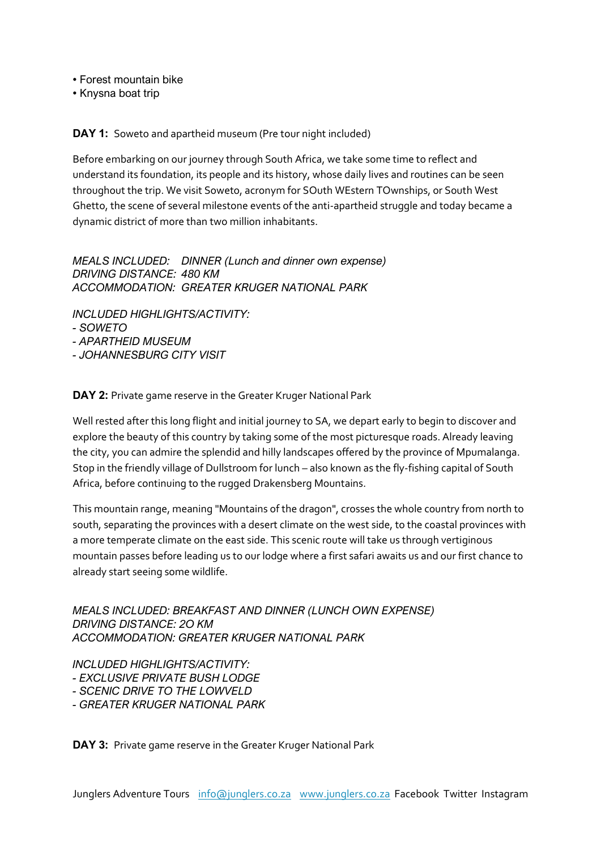" Forest mountain bike

• Knysna boat trip

**DAY 1:** Soweto and apartheid museum (Pre tour night included)

Before embarking on our journey through South Africa, we take some time to reflect and understand its foundation, its people and its history, whose daily lives and routines can be seen throughout the trip. We visit Soweto, acronym for SOuth WEstern TOwnships, or South West Ghetto, the scene of several milestone events of the anti-apartheid struggle and today became a dynamic district of more than two million inhabitants.

*MEALS INCLUDED: DINNER (Lunch and dinner own expense) DRIVING DISTANCE: 480 KM ACCOMMODATION: GREATER KRUGER NATIONAL PARK* 

*INCLUDED HIGHLIGHTS/ACTIVITY: - SOWETO - APARTHEID MUSEUM - JOHANNESBURG CITY VISIT*

**DAY 2:** Private game reserve in the Greater Kruger National Park

Well rested after this long flight and initial journey to SA, we depart early to begin to discover and explore the beauty of this country by taking some of the most picturesque roads. Already leaving the city, you can admire the splendid and hilly landscapes offered by the province of Mpumalanga. Stop in the friendly village of Dullstroom for lunch – also known as the fly-fishing capital of South Africa, before continuing to the rugged Drakensberg Mountains.

This mountain range, meaning "Mountains of the dragon", crosses the whole country from north to south, separating the provinces with a desert climate on the west side, to the coastal provinces with a more temperate climate on the east side. This scenic route will take us through vertiginous mountain passes before leading us to our lodge where a first safari awaits us and our first chance to already start seeing some wildlife.

*MEALS INCLUDED: BREAKFAST AND DINNER (LUNCH OWN EXPENSE) DRIVING DISTANCE: 2O KM ACCOMMODATION: GREATER KRUGER NATIONAL PARK*

*INCLUDED HIGHLIGHTS/ACTIVITY:* 

*- EXCLUSIVE PRIVATE BUSH LODGE* 

*- SCENIC DRIVE TO THE LOWVELD*

*- GREATER KRUGER NATIONAL PARK*

**DAY 3:** Private game reserve in the Greater Kruger National Park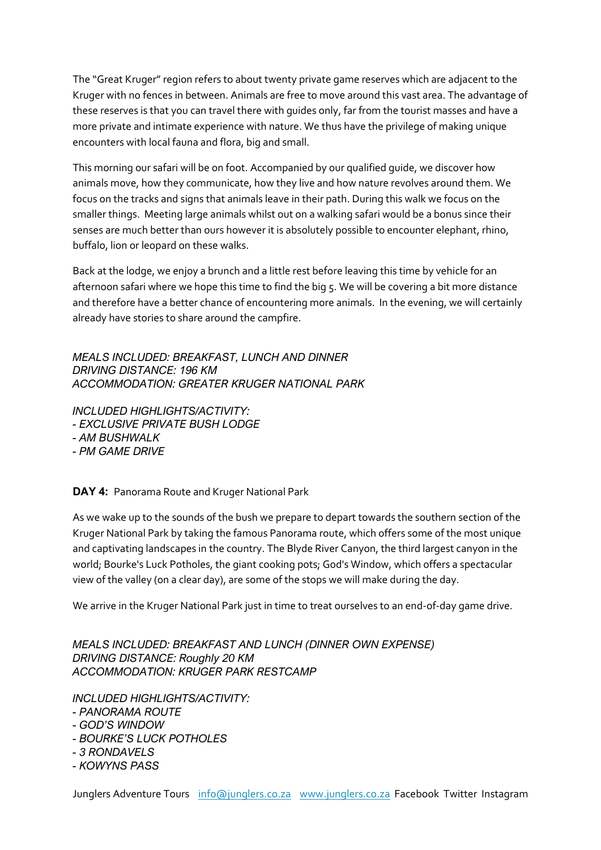The "Great Kruger" region refers to about twenty private game reserves which are adjacent to the Kruger with no fences in between. Animals are free to move around this vast area. The advantage of these reserves is that you can travel there with guides only, far from the tourist masses and have a more private and intimate experience with nature. We thus have the privilege of making unique encounters with local fauna and flora, big and small.

This morning our safari will be on foot. Accompanied by our qualified guide, we discover how animals move, how they communicate, how they live and how nature revolves around them. We focus on the tracks and signs that animals leave in their path. During this walk we focus on the smaller things. Meeting large animals whilst out on a walking safari would be a bonus since their senses are much better than ours however it is absolutely possible to encounter elephant, rhino, buffalo, lion or leopard on these walks.

Back at the lodge, we enjoy a brunch and a little rest before leaving this time by vehicle for an afternoon safari where we hope this time to find the big 5. We will be covering a bit more distance and therefore have a better chance of encountering more animals. In the evening, we will certainly already have stories to share around the campfire.

*MEALS INCLUDED: BREAKFAST, LUNCH AND DINNER DRIVING DISTANCE: 196 KM ACCOMMODATION: GREATER KRUGER NATIONAL PARK*

*INCLUDED HIGHLIGHTS/ACTIVITY: - EXCLUSIVE PRIVATE BUSH LODGE - AM BUSHWALK - PM GAME DRIVE*

**DAY 4:** Panorama Route and Kruger National Park

As we wake up to the sounds of the bush we prepare to depart towards the southern section of the Kruger National Park by taking the famous Panorama route, which offers some of the most unique and captivating landscapes in the country. The Blyde River Canyon, the third largest canyon in the world; Bourke's Luck Potholes, the giant cooking pots; God's Window, which offers a spectacular view of the valley (on a clear day), are some of the stops we will make during the day.

We arrive in the Kruger National Park just in time to treat ourselves to an end-of-day game drive.

*MEALS INCLUDED: BREAKFAST AND LUNCH (DINNER OWN EXPENSE) DRIVING DISTANCE: Roughly 20 KM ACCOMMODATION: KRUGER PARK RESTCAMP*

*INCLUDED HIGHLIGHTS/ACTIVITY:* 

- *- PANORAMA ROUTE*
- *- GOD'S WINDOW*
- *- BOURKE'S LUCK POTHOLES*
- *- 3 RONDAVELS*
- *- KOWYNS PASS*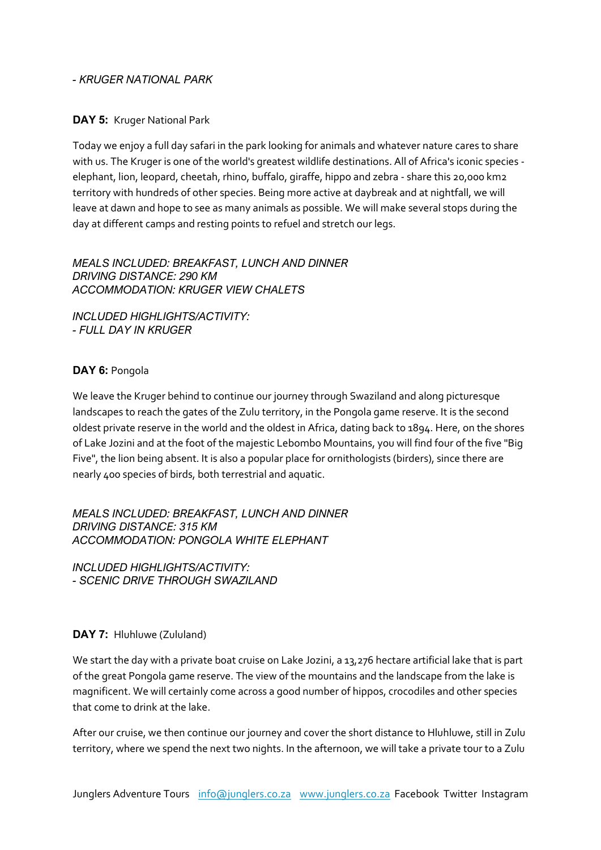#### *- KRUGER NATIONAL PARK*

#### **DAY 5:** Kruger National Park

Today we enjoy a full day safari in the park looking for animals and whatever nature cares to share with us. The Kruger is one of the world's greatest wildlife destinations. All of Africa's iconic species elephant, lion, leopard, cheetah, rhino, buffalo, giraffe, hippo and zebra - share this 20,000 km2 territory with hundreds of other species. Being more active at daybreak and at nightfall, we will leave at dawn and hope to see as many animals as possible. We will make several stops during the day at different camps and resting points to refuel and stretch our legs.

#### *MEALS INCLUDED: BREAKFAST, LUNCH AND DINNER DRIVING DISTANCE: 290 KM ACCOMMODATION: KRUGER VIEW CHALETS*

*INCLUDED HIGHLIGHTS/ACTIVITY: - FULL DAY IN KRUGER*

# **DAY 6:** Pongola

We leave the Kruger behind to continue our journey through Swaziland and along picturesque landscapes to reach the gates of the Zulu territory, in the Pongola game reserve. It is the second oldest private reserve in the world and the oldest in Africa, dating back to 1894. Here, on the shores of Lake Jozini and at the foot of the majestic Lebombo Mountains, you will find four of the five "Big Five", the lion being absent. It is also a popular place for ornithologists (birders), since there are nearly 400 species of birds, both terrestrial and aquatic.

*MEALS INCLUDED: BREAKFAST, LUNCH AND DINNER DRIVING DISTANCE: 315 KM ACCOMMODATION: PONGOLA WHITE ELEPHANT*

*INCLUDED HIGHLIGHTS/ACTIVITY: - SCENIC DRIVE THROUGH SWAZILAND*

#### **DAY 7:** Hluhluwe (Zululand)

We start the day with a private boat cruise on Lake Jozini, a 13,276 hectare artificial lake that is part of the great Pongola game reserve. The view of the mountains and the landscape from the lake is magnificent. We will certainly come across a good number of hippos, crocodiles and other species that come to drink at the lake.

After our cruise, we then continue our journey and cover the short distance to Hluhluwe, still in Zulu territory, where we spend the next two nights. In the afternoon, we will take a private tour to a Zulu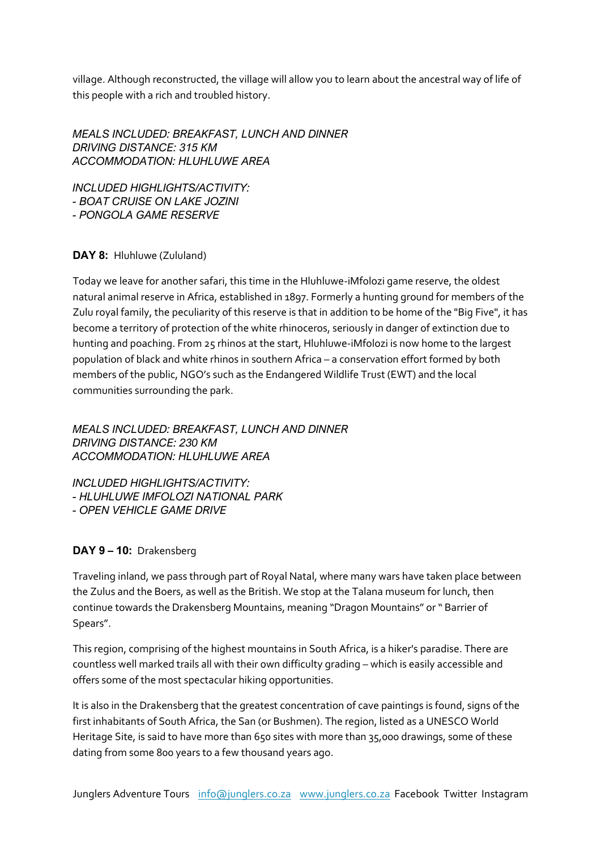village. Although reconstructed, the village will allow you to learn about the ancestral way of life of this people with a rich and troubled history.

*MEALS INCLUDED: BREAKFAST, LUNCH AND DINNER DRIVING DISTANCE: 315 KM ACCOMMODATION: HLUHLUWE AREA*

*INCLUDED HIGHLIGHTS/ACTIVITY: - BOAT CRUISE ON LAKE JOZINI - PONGOLA GAME RESERVE*

# **DAY 8:** Hluhluwe (Zululand)

Today we leave for another safari, this time in the Hluhluwe-iMfolozi game reserve, the oldest natural animal reserve in Africa, established in 1897. Formerly a hunting ground for members of the Zulu royal family, the peculiarity of this reserve is that in addition to be home of the "Big Five", it has become a territory of protection of the white rhinoceros, seriously in danger of extinction due to hunting and poaching. From 25 rhinos at the start, Hluhluwe-iMfolozi is now home to the largest population of black and white rhinos in southern Africa – a conservation effort formed by both members of the public, NGO's such as the Endangered Wildlife Trust (EWT) and the local communities surrounding the park.

*MEALS INCLUDED: BREAKFAST, LUNCH AND DINNER DRIVING DISTANCE: 230 KM ACCOMMODATION: HLUHLUWE AREA*

*INCLUDED HIGHLIGHTS/ACTIVITY: - HLUHLUWE IMFOLOZI NATIONAL PARK - OPEN VEHICLE GAME DRIVE*

# **DAY 9 – 10:** Drakensberg

Traveling inland, we pass through part of Royal Natal, where many wars have taken place between the Zulus and the Boers, as well as the British. We stop at the Talana museum for lunch, then continue towards the Drakensberg Mountains, meaning "Dragon Mountains" or " Barrier of Spears".

This region, comprising of the highest mountains in South Africa, is a hiker's paradise. There are countless well marked trails all with their own difficulty grading – which is easily accessible and offers some of the most spectacular hiking opportunities.

It is also in the Drakensberg that the greatest concentration of cave paintings is found, signs of the first inhabitants of South Africa, the San (or Bushmen). The region, listed as a UNESCO World Heritage Site, is said to have more than 650 sites with more than 35,000 drawings, some of these dating from some 800 years to a few thousand years ago.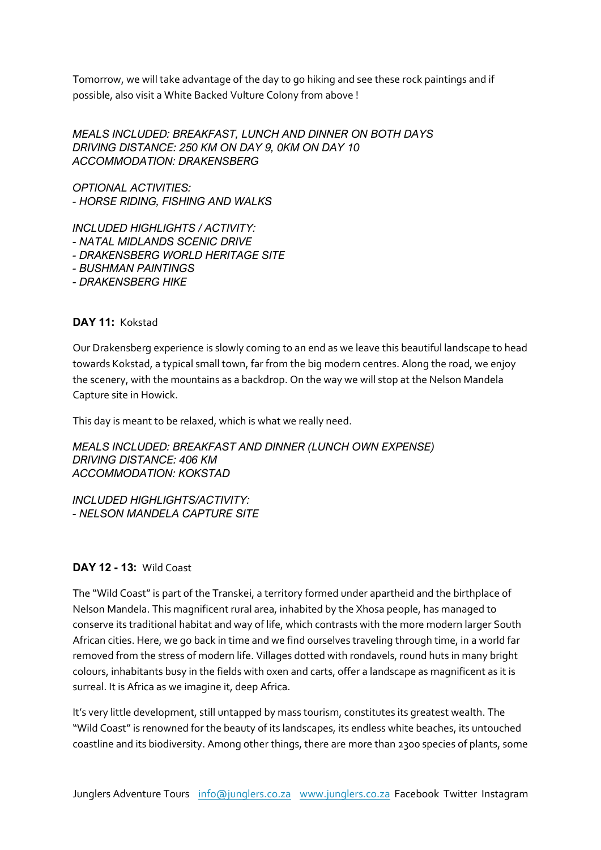Tomorrow, we will take advantage of the day to go hiking and see these rock paintings and if possible, also visit a White Backed Vulture Colony from above !

*MEALS INCLUDED: BREAKFAST, LUNCH AND DINNER ON BOTH DAYS DRIVING DISTANCE: 250 KM ON DAY 9, 0KM ON DAY 10 ACCOMMODATION: DRAKENSBERG*

*OPTIONAL ACTIVITIES: - HORSE RIDING, FISHING AND WALKS*

*INCLUDED HIGHLIGHTS / ACTIVITY: - NATAL MIDLANDS SCENIC DRIVE - DRAKENSBERG WORLD HERITAGE SITE - BUSHMAN PAINTINGS - DRAKENSBERG HIKE*

# **DAY 11:** Kokstad

Our Drakensberg experience is slowly coming to an end as we leave this beautiful landscape to head towards Kokstad, a typical small town, far from the big modern centres. Along the road, we enjoy the scenery, with the mountains as a backdrop. On the way we will stop at the Nelson Mandela Capture site in Howick.

This day is meant to be relaxed, which is what we really need.

*MEALS INCLUDED: BREAKFAST AND DINNER (LUNCH OWN EXPENSE) DRIVING DISTANCE: 406 KM ACCOMMODATION: KOKSTAD*

*INCLUDED HIGHLIGHTS/ACTIVITY: - NELSON MANDELA CAPTURE SITE*

#### **DAY 12 - 13:** Wild Coast

The "Wild Coast" is part of the Transkei, a territory formed under apartheid and the birthplace of Nelson Mandela. This magnificent rural area, inhabited by the Xhosa people, has managed to conserve its traditional habitat and way of life, which contrasts with the more modern larger South African cities. Here, we go back in time and we find ourselves traveling through time, in a world far removed from the stress of modern life. Villages dotted with rondavels, round huts in many bright colours, inhabitants busy in the fields with oxen and carts, offer a landscape as magnificent as it is surreal. It is Africa as we imagine it, deep Africa.

It's very little development, still untapped by mass tourism, constitutes its greatest wealth. The "Wild Coast" is renowned for the beauty of its landscapes, its endless white beaches, its untouched coastline and its biodiversity. Among other things, there are more than 2300 species of plants, some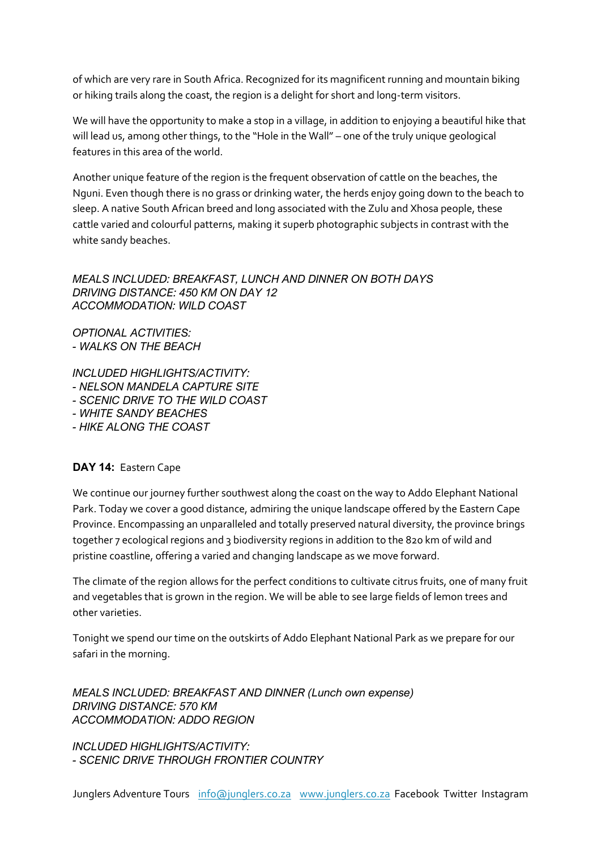of which are very rare in South Africa. Recognized for its magnificent running and mountain biking or hiking trails along the coast, the region is a delight for short and long-term visitors.

We will have the opportunity to make a stop in a village, in addition to enjoying a beautiful hike that will lead us, among other things, to the "Hole in the Wall" – one of the truly unique geological features in this area of the world.

Another unique feature of the region is the frequent observation of cattle on the beaches, the Nguni. Even though there is no grass or drinking water, the herds enjoy going down to the beach to sleep. A native South African breed and long associated with the Zulu and Xhosa people, these cattle varied and colourful patterns, making it superb photographic subjects in contrast with the white sandy beaches.

# *MEALS INCLUDED: BREAKFAST, LUNCH AND DINNER ON BOTH DAYS DRIVING DISTANCE: 450 KM ON DAY 12 ACCOMMODATION: WILD COAST*

*OPTIONAL ACTIVITIES: - WALKS ON THE BEACH*

*INCLUDED HIGHLIGHTS/ACTIVITY: - NELSON MANDELA CAPTURE SITE*

- *- SCENIC DRIVE TO THE WILD COAST*
- *- WHITE SANDY BEACHES*
- *- HIKE ALONG THE COAST*

# **DAY 14:** Eastern Cape

We continue our journey further southwest along the coast on the way to Addo Elephant National Park. Today we cover a good distance, admiring the unique landscape offered by the Eastern Cape Province. Encompassing an unparalleled and totally preserved natural diversity, the province brings together 7 ecological regions and 3 biodiversity regions in addition to the 820 km of wild and pristine coastline, offering a varied and changing landscape as we move forward.

The climate of the region allows for the perfect conditions to cultivate citrus fruits, one of many fruit and vegetables that is grown in the region. We will be able to see large fields of lemon trees and other varieties.

Tonight we spend our time on the outskirts of Addo Elephant National Park as we prepare for our safari in the morning.

*MEALS INCLUDED: BREAKFAST AND DINNER (Lunch own expense) DRIVING DISTANCE: 570 KM ACCOMMODATION: ADDO REGION*

*INCLUDED HIGHLIGHTS/ACTIVITY: - SCENIC DRIVE THROUGH FRONTIER COUNTRY*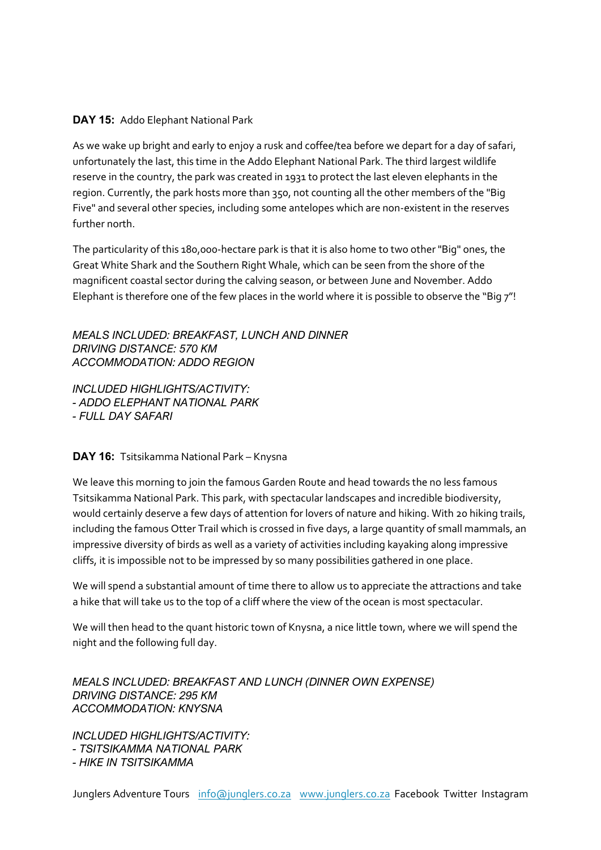# **DAY 15:** Addo Elephant National Park

As we wake up bright and early to enjoy a rusk and coffee/tea before we depart for a day of safari, unfortunately the last, this time in the Addo Elephant National Park. The third largest wildlife reserve in the country, the park was created in 1931 to protect the last eleven elephants in the region. Currently, the park hosts more than 350, not counting all the other members of the "Big Five" and several other species, including some antelopes which are non-existent in the reserves further north.

The particularity of this 180,000-hectare park is that it is also home to two other "Big" ones, the Great White Shark and the Southern Right Whale, which can be seen from the shore of the magnificent coastal sector during the calving season, or between June and November. Addo Elephant is therefore one of the few places in the world where it is possible to observe the "Big 7"!

*MEALS INCLUDED: BREAKFAST, LUNCH AND DINNER DRIVING DISTANCE: 570 KM ACCOMMODATION: ADDO REGION*

*INCLUDED HIGHLIGHTS/ACTIVITY: - ADDO ELEPHANT NATIONAL PARK - FULL DAY SAFARI*

#### **DAY 16:** Tsitsikamma National Park – Knysna

We leave this morning to join the famous Garden Route and head towards the no less famous Tsitsikamma National Park. This park, with spectacular landscapes and incredible biodiversity, would certainly deserve a few days of attention for lovers of nature and hiking. With 20 hiking trails, including the famous Otter Trail which is crossed in five days, a large quantity of small mammals, an impressive diversity of birds as well as a variety of activities including kayaking along impressive cliffs, it is impossible not to be impressed by so many possibilities gathered in one place.

We will spend a substantial amount of time there to allow us to appreciate the attractions and take a hike that will take us to the top of a cliff where the view of the ocean is most spectacular.

We will then head to the quant historic town of Knysna, a nice little town, where we will spend the night and the following full day.

*MEALS INCLUDED: BREAKFAST AND LUNCH (DINNER OWN EXPENSE) DRIVING DISTANCE: 295 KM ACCOMMODATION: KNYSNA*

*INCLUDED HIGHLIGHTS/ACTIVITY: - TSITSIKAMMA NATIONAL PARK - HIKE IN TSITSIKAMMA*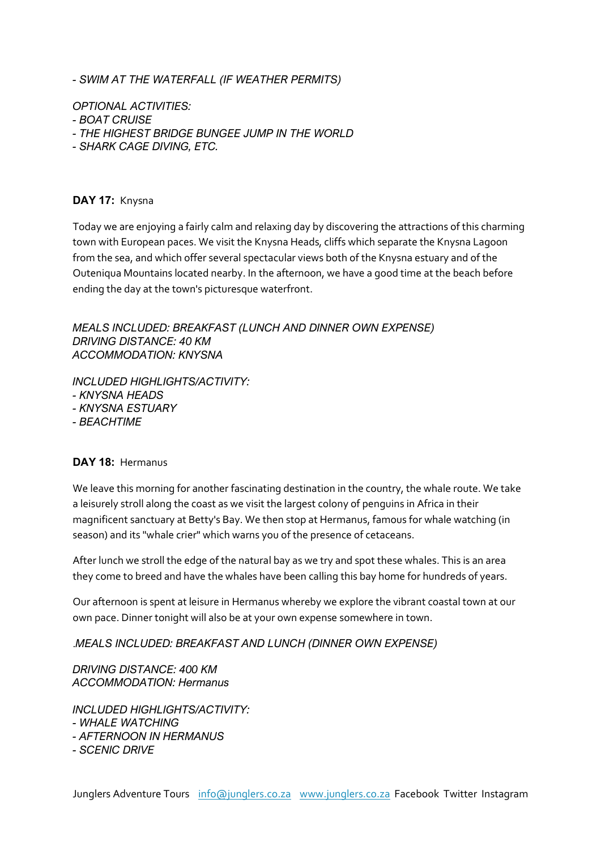*- SWIM AT THE WATERFALL (IF WEATHER PERMITS)*

*OPTIONAL ACTIVITIES:* 

- *- BOAT CRUISE*
- *- THE HIGHEST BRIDGE BUNGEE JUMP IN THE WORLD*
- *- SHARK CAGE DIVING, ETC.*

#### **DAY 17:** Knysna

Today we are enjoying a fairly calm and relaxing day by discovering the attractions of this charming town with European paces. We visit the Knysna Heads, cliffs which separate the Knysna Lagoon from the sea, and which offer several spectacular views both of the Knysna estuary and of the Outeniqua Mountains located nearby. In the afternoon, we have a good time at the beach before ending the day at the town's picturesque waterfront.

*MEALS INCLUDED: BREAKFAST (LUNCH AND DINNER OWN EXPENSE) DRIVING DISTANCE: 40 KM ACCOMMODATION: KNYSNA*

*INCLUDED HIGHLIGHTS/ACTIVITY: - KNYSNA HEADS - KNYSNA ESTUARY - BEACHTIME* 

#### **DAY 18:** Hermanus

We leave this morning for another fascinating destination in the country, the whale route. We take a leisurely stroll along the coast as we visit the largest colony of penguins in Africa in their magnificent sanctuary at Betty's Bay. We then stop at Hermanus, famous for whale watching (in season) and its "whale crier" which warns you of the presence of cetaceans.

After lunch we stroll the edge of the natural bay as we try and spot these whales. This is an area they come to breed and have the whales have been calling this bay home for hundreds of years.

Our afternoon is spent at leisure in Hermanus whereby we explore the vibrant coastal town at our own pace. Dinner tonight will also be at your own expense somewhere in town.

.*MEALS INCLUDED: BREAKFAST AND LUNCH (DINNER OWN EXPENSE)*

*DRIVING DISTANCE: 400 KM ACCOMMODATION: Hermanus*

*INCLUDED HIGHLIGHTS/ACTIVITY: - WHALE WATCHING - AFTERNOON IN HERMANUS - SCENIC DRIVE*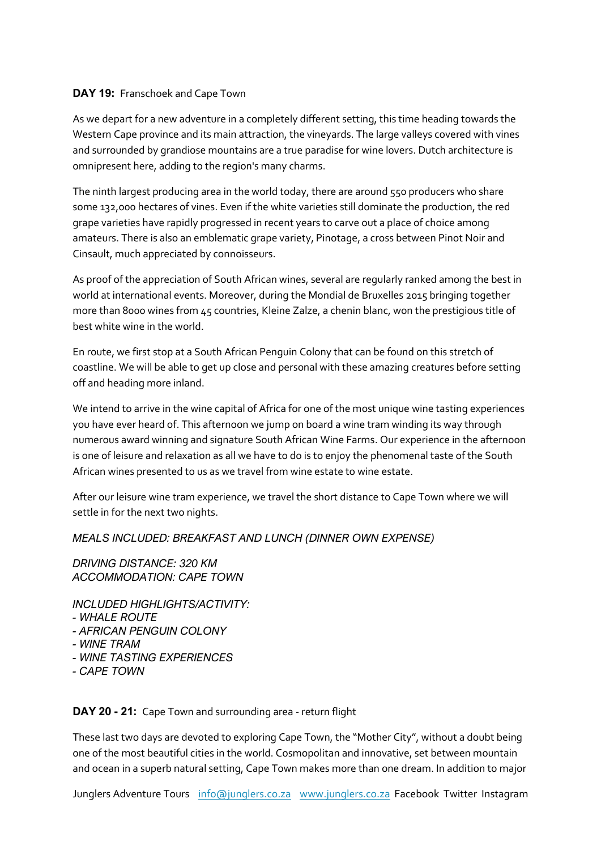#### **DAY 19:** Franschoek and Cape Town

As we depart for a new adventure in a completely different setting, this time heading towards the Western Cape province and its main attraction, the vineyards. The large valleys covered with vines and surrounded by grandiose mountains are a true paradise for wine lovers. Dutch architecture is omnipresent here, adding to the region's many charms.

The ninth largest producing area in the world today, there are around 550 producers who share some 132,000 hectares of vines. Even if the white varieties still dominate the production, the red grape varieties have rapidly progressed in recent years to carve out a place of choice among amateurs. There is also an emblematic grape variety, Pinotage, a cross between Pinot Noir and Cinsault, much appreciated by connoisseurs.

As proof of the appreciation of South African wines, several are regularly ranked among the best in world at international events. Moreover, during the Mondial de Bruxelles 2015 bringing together more than 8000 wines from 45 countries, Kleine Zalze, a chenin blanc, won the prestigious title of best white wine in the world.

En route, we first stop at a South African Penguin Colony that can be found on this stretch of coastline. We will be able to get up close and personal with these amazing creatures before setting off and heading more inland.

We intend to arrive in the wine capital of Africa for one of the most unique wine tasting experiences you have ever heard of. This afternoon we jump on board a wine tram winding its way through numerous award winning and signature South African Wine Farms. Our experience in the afternoon is one of leisure and relaxation as all we have to do is to enjoy the phenomenal taste of the South African wines presented to us as we travel from wine estate to wine estate.

After our leisure wine tram experience, we travel the short distance to Cape Town where we will settle in for the next two nights.

# *MEALS INCLUDED: BREAKFAST AND LUNCH (DINNER OWN EXPENSE)*

*DRIVING DISTANCE: 320 KM ACCOMMODATION: CAPE TOWN*

*INCLUDED HIGHLIGHTS/ACTIVITY: - WHALE ROUTE*

- *- AFRICAN PENGUIN COLONY*
- *- WINE TRAM*
- *- WINE TASTING EXPERIENCES*
- *- CAPE TOWN*

**DAY 20 - 21:** Cape Town and surrounding area - return flight

These last two days are devoted to exploring Cape Town, the "Mother City", without a doubt being one of the most beautiful cities in the world. Cosmopolitan and innovative, set between mountain and ocean in a superb natural setting, Cape Town makes more than one dream. In addition to major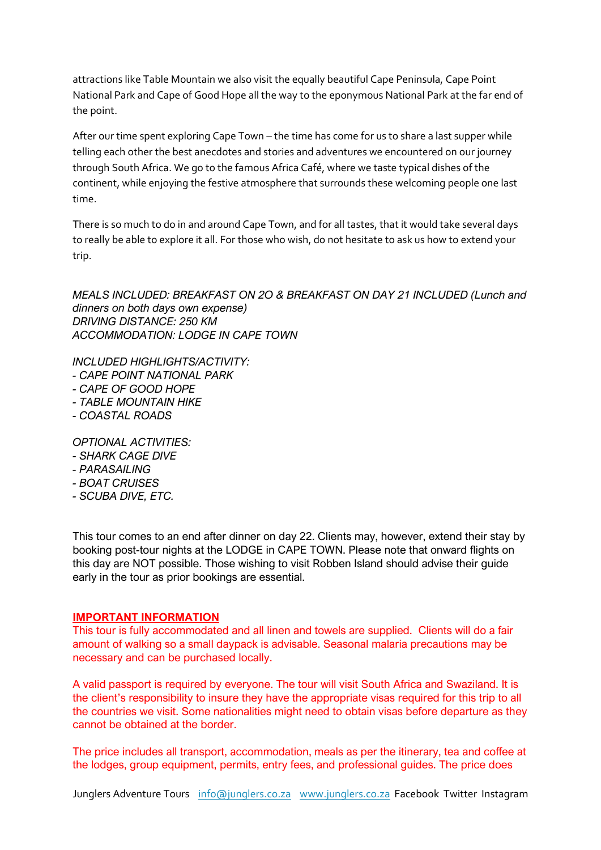attractions like Table Mountain we also visit the equally beautiful Cape Peninsula, Cape Point National Park and Cape of Good Hope all the way to the eponymous National Park at the far end of the point.

After our time spent exploring Cape Town – the time has come for us to share a last supper while telling each other the best anecdotes and stories and adventures we encountered on our journey through South Africa. We go to the famous Africa Café, where we taste typical dishes of the continent, while enjoying the festive atmosphere that surrounds these welcoming people one last time.

There is so much to do in and around Cape Town, and for all tastes, that it would take several days to really be able to explore it all. For those who wish, do not hesitate to ask us how to extend your trip.

*MEALS INCLUDED: BREAKFAST ON 2O & BREAKFAST ON DAY 21 INCLUDED (Lunch and dinners on both days own expense) DRIVING DISTANCE: 250 KM ACCOMMODATION: LODGE IN CAPE TOWN*

*INCLUDED HIGHLIGHTS/ACTIVITY: - CAPE POINT NATIONAL PARK - CAPE OF GOOD HOPE - TABLE MOUNTAIN HIKE*

*- COASTAL ROADS*

*OPTIONAL ACTIVITIES:* 

- *- SHARK CAGE DIVE*
- *- PARASAILING*
- *- BOAT CRUISES*
- *- SCUBA DIVE, ETC.*

This tour comes to an end after dinner on day 22. Clients may, however, extend their stay by booking post-tour nights at the LODGE in CAPE TOWN. Please note that onward flights on this day are NOT possible. Those wishing to visit Robben Island should advise their guide early in the tour as prior bookings are essential.

#### **IMPORTANT INFORMATION**

This tour is fully accommodated and all linen and towels are supplied. Clients will do a fair amount of walking so a small daypack is advisable. Seasonal malaria precautions may be necessary and can be purchased locally.

A valid passport is required by everyone. The tour will visit South Africa and Swaziland. It is the client's responsibility to insure they have the appropriate visas required for this trip to all the countries we visit. Some nationalities might need to obtain visas before departure as they cannot be obtained at the border.

The price includes all transport, accommodation, meals as per the itinerary, tea and coffee at the lodges, group equipment, permits, entry fees, and professional guides. The price does